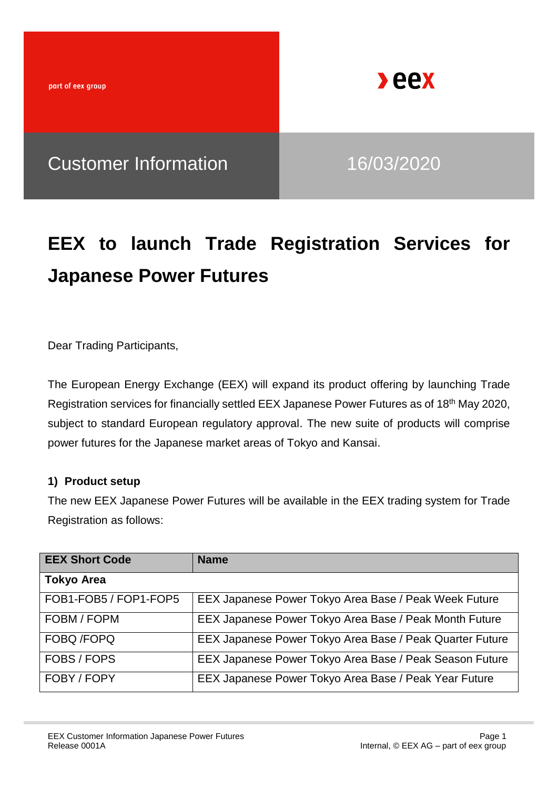

## **EEX to launch Trade Registration Services for Japanese Power Futures**

Dear Trading Participants,

The European Energy Exchange (EEX) will expand its product offering by launching Trade Registration services for financially settled EEX Japanese Power Futures as of 18<sup>th</sup> May 2020, subject to standard European regulatory approval. The new suite of products will comprise power futures for the Japanese market areas of Tokyo and Kansai.

### **1) Product setup**

The new EEX Japanese Power Futures will be available in the EEX trading system for Trade Registration as follows:

| <b>EEX Short Code</b> | <b>Name</b>                                              |
|-----------------------|----------------------------------------------------------|
| <b>Tokyo Area</b>     |                                                          |
| FOB1-FOB5 / FOP1-FOP5 | EEX Japanese Power Tokyo Area Base / Peak Week Future    |
| FOBM / FOPM           | EEX Japanese Power Tokyo Area Base / Peak Month Future   |
| <b>FOBQ/FOPQ</b>      | EEX Japanese Power Tokyo Area Base / Peak Quarter Future |
| FOBS / FOPS           | EEX Japanese Power Tokyo Area Base / Peak Season Future  |
| FOBY / FOPY           | EEX Japanese Power Tokyo Area Base / Peak Year Future    |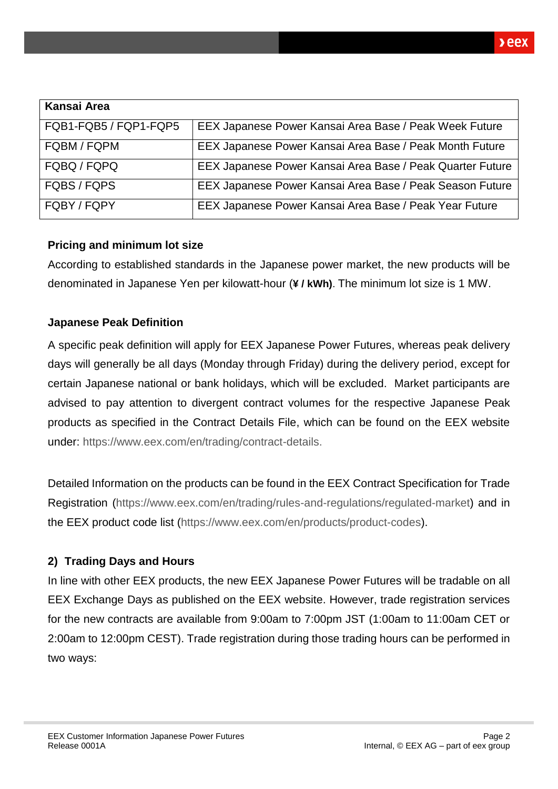| Kansai Area           |                                                           |
|-----------------------|-----------------------------------------------------------|
| FQB1-FQB5 / FQP1-FQP5 | EEX Japanese Power Kansai Area Base / Peak Week Future    |
| FQBM / FQPM           | EEX Japanese Power Kansai Area Base / Peak Month Future   |
| FQBQ / FQPQ           | EEX Japanese Power Kansai Area Base / Peak Quarter Future |
| FQBS / FQPS           | EEX Japanese Power Kansai Area Base / Peak Season Future  |
| FQBY / FQPY           | EEX Japanese Power Kansai Area Base / Peak Year Future    |

### **Pricing and minimum lot size**

According to established standards in the Japanese power market, the new products will be denominated in Japanese Yen per kilowatt-hour (**¥ / kWh)**. The minimum lot size is 1 MW.

### **Japanese Peak Definition**

A specific peak definition will apply for EEX Japanese Power Futures, whereas peak delivery days will generally be all days (Monday through Friday) during the delivery period, except for certain Japanese national or bank holidays, which will be excluded. Market participants are advised to pay attention to divergent contract volumes for the respective Japanese Peak products as specified in the Contract Details File, which can be found on the EEX website under: [https://www.eex.com/en/trading/contract-details.](https://www.eex.com/en/trading/contract-details)

Detailed Information on the products can be found in the EEX Contract Specification for Trade Registration [\(https://www.eex.com/en/trading/rules-and-regulations/regulated-market\)](https://www.eex.com/en/trading/rules-and-regulations/regulated-market) and in the EEX product code list [\(https://www.eex.com/en/products/product-codes\)](https://www.eex.com/en/products/product-codes).

### **2) Trading Days and Hours**

In line with other EEX products, the new EEX Japanese Power Futures will be tradable on all EEX Exchange Days as published on the EEX website. However, trade registration services for the new contracts are available from 9:00am to 7:00pm JST (1:00am to 11:00am CET or 2:00am to 12:00pm CEST). Trade registration during those trading hours can be performed in two ways: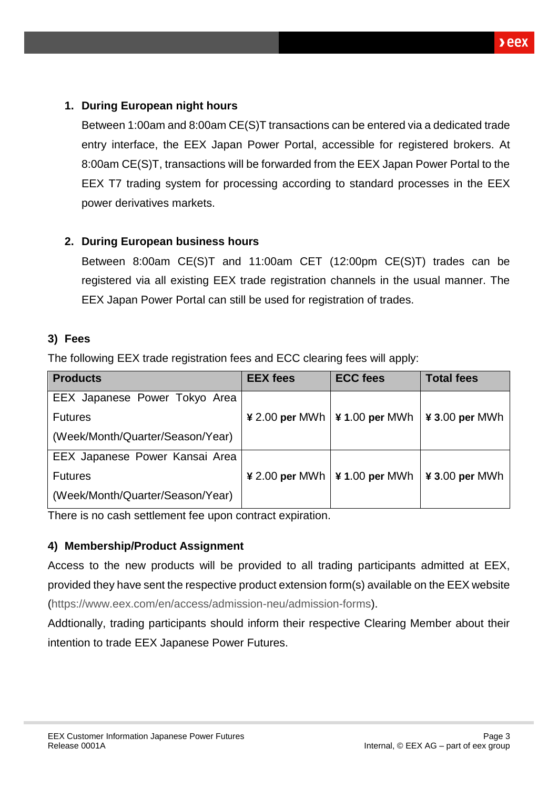### **1. During European night hours**

Between 1:00am and 8:00am CE(S)T transactions can be entered via a dedicated trade entry interface, the EEX Japan Power Portal, accessible for registered brokers. At 8:00am CE(S)T, transactions will be forwarded from the EEX Japan Power Portal to the EEX T7 trading system for processing according to standard processes in the EEX power derivatives markets.

## **2. During European business hours**

Between 8:00am CE(S)T and 11:00am CET (12:00pm CE(S)T) trades can be registered via all existing EEX trade registration channels in the usual manner. The EEX Japan Power Portal can still be used for registration of trades.

### **3) Fees**

The following EEX trade registration fees and ECC clearing fees will apply:

| <b>Products</b>                  | <b>EEX fees</b>                             | <b>ECC</b> fees | <b>Total fees</b> |  |
|----------------------------------|---------------------------------------------|-----------------|-------------------|--|
| EEX Japanese Power Tokyo Area    |                                             |                 |                   |  |
| <b>Futures</b>                   | $\angle 2.00$ per MWh $\angle 4.00$ per MWh |                 | $43.00$ per MWh   |  |
| (Week/Month/Quarter/Season/Year) |                                             |                 |                   |  |
| EEX Japanese Power Kansai Area   |                                             |                 |                   |  |
| <b>Futures</b>                   | $\angle 2.00$ per MWh $\angle 4.00$ per MWh |                 | $43.00$ per MWh   |  |
| (Week/Month/Quarter/Season/Year) |                                             |                 |                   |  |

There is no cash settlement fee upon contract expiration.

### **4) Membership/Product Assignment**

Access to the new products will be provided to all trading participants admitted at EEX, provided they have sent the respective product extension form(s) available on the EEX website [\(https://www.eex.com/en/access/admission-neu/admission-forms\)](https://www.eex.com/en/access/admission-neu/admission-forms).

Addtionally, trading participants should inform their respective Clearing Member about their intention to trade EEX Japanese Power Futures.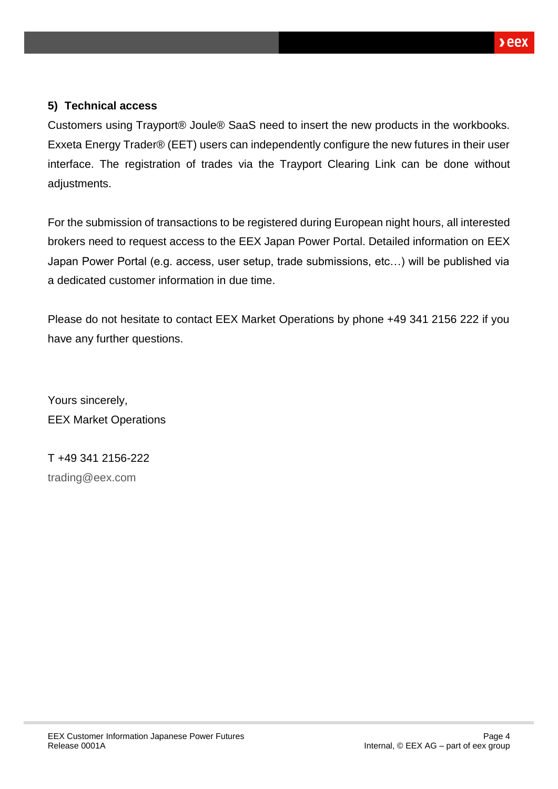### **5) Technical access**

Customers using Trayport® Joule® SaaS need to insert the new products in the workbooks. Exxeta Energy Trader® (EET) users can independently configure the new futures in their user interface. The registration of trades via the Trayport Clearing Link can be done without adjustments.

For the submission of transactions to be registered during European night hours, all interested brokers need to request access to the EEX Japan Power Portal. Detailed information on EEX Japan Power Portal (e.g. access, user setup, trade submissions, etc…) will be published via a dedicated customer information in due time.

Please do not hesitate to contact EEX Market Operations by phone +49 341 2156 222 if you have any further questions.

Yours sincerely, EEX Market Operations

T +49 341 2156-222 [trading@eex.com](mailto:trading@eex.com)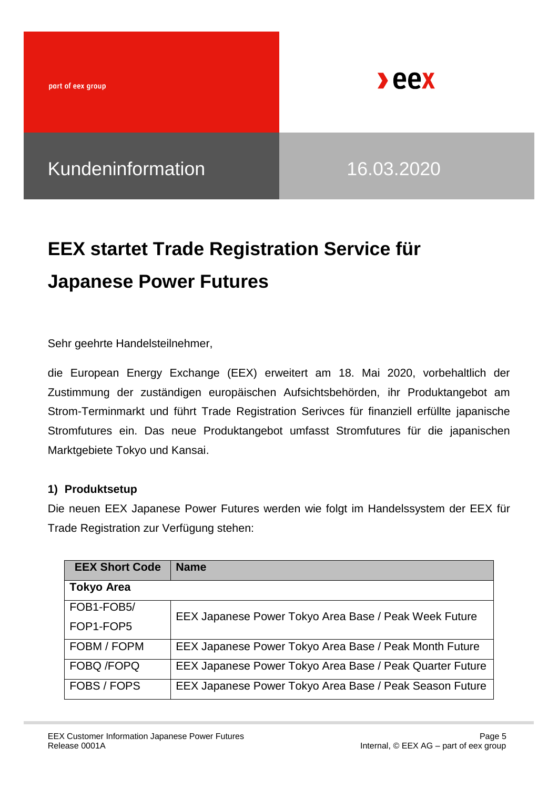part of eex group



Kundeninformation 16.03.2020

# **EEX startet Trade Registration Service für Japanese Power Futures**

Sehr geehrte Handelsteilnehmer,

die European Energy Exchange (EEX) erweitert am 18. Mai 2020, vorbehaltlich der Zustimmung der zuständigen europäischen Aufsichtsbehörden, ihr Produktangebot am Strom-Terminmarkt und führt Trade Registration Serivces für finanziell erfüllte japanische Stromfutures ein. Das neue Produktangebot umfasst Stromfutures für die japanischen Marktgebiete Tokyo und Kansai.

### **1) Produktsetup**

Die neuen EEX Japanese Power Futures werden wie folgt im Handelssystem der EEX für Trade Registration zur Verfügung stehen:

| <b>EEX Short Code</b> | <b>Name</b>                                              |
|-----------------------|----------------------------------------------------------|
| <b>Tokyo Area</b>     |                                                          |
| FOB1-FOB5/            | EEX Japanese Power Tokyo Area Base / Peak Week Future    |
| FOP1-FOP5             |                                                          |
| FOBM / FOPM           | EEX Japanese Power Tokyo Area Base / Peak Month Future   |
| FOBQ /FOPQ            | EEX Japanese Power Tokyo Area Base / Peak Quarter Future |
| FOBS / FOPS           | EEX Japanese Power Tokyo Area Base / Peak Season Future  |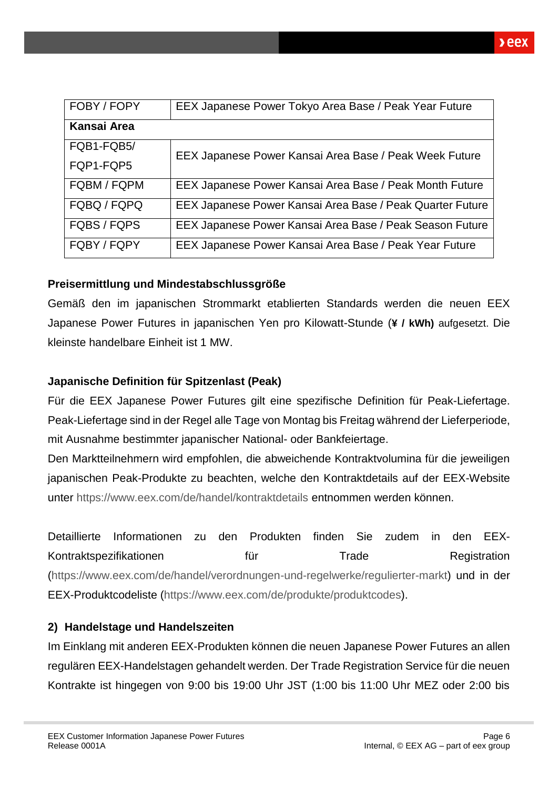| FOBY / FOPY        | EEX Japanese Power Tokyo Area Base / Peak Year Future     |
|--------------------|-----------------------------------------------------------|
| <b>Kansai Area</b> |                                                           |
| FQB1-FQB5/         | EEX Japanese Power Kansai Area Base / Peak Week Future    |
| FQP1-FQP5          |                                                           |
| FQBM / FQPM        | EEX Japanese Power Kansai Area Base / Peak Month Future   |
| FQBQ / FQPQ        | EEX Japanese Power Kansai Area Base / Peak Quarter Future |
| FQBS / FQPS        | EEX Japanese Power Kansai Area Base / Peak Season Future  |
| FQBY / FQPY        | EEX Japanese Power Kansai Area Base / Peak Year Future    |

### **Preisermittlung und Mindestabschlussgröße**

Gemäß den im japanischen Strommarkt etablierten Standards werden die neuen EEX Japanese Power Futures in japanischen Yen pro Kilowatt-Stunde (**¥ / kWh)** aufgesetzt. Die kleinste handelbare Einheit ist 1 MW.

### **Japanische Definition für Spitzenlast (Peak)**

Für die EEX Japanese Power Futures gilt eine spezifische Definition für Peak-Liefertage. Peak-Liefertage sind in der Regel alle Tage von Montag bis Freitag während der Lieferperiode, mit Ausnahme bestimmter japanischer National- oder Bankfeiertage.

Den Marktteilnehmern wird empfohlen, die abweichende Kontraktvolumina für die jeweiligen japanischen Peak-Produkte zu beachten, welche den Kontraktdetails auf der EEX-Website unter<https://www.eex.com/de/handel/kontraktdetails> entnommen werden können.

Detaillierte Informationen zu den Produkten finden Sie zudem in den EEX-Kontraktspezifikationen für für Trade Registration [\(https://www.eex.com/de/handel/verordnungen-und-regelwerke/regulierter-markt\)](https://www.eex.com/de/handel/verordnungen-und-regelwerke/regulierter-markt) und in der EEX-Produktcodeliste [\(https://www.eex.com/de/produkte/produktcodes\)](https://www.eex.com/de/produkte/produktcodes).

### **2) Handelstage und Handelszeiten**

Im Einklang mit anderen EEX-Produkten können die neuen Japanese Power Futures an allen regulären EEX-Handelstagen gehandelt werden. Der Trade Registration Service für die neuen Kontrakte ist hingegen von 9:00 bis 19:00 Uhr JST (1:00 bis 11:00 Uhr MEZ oder 2:00 bis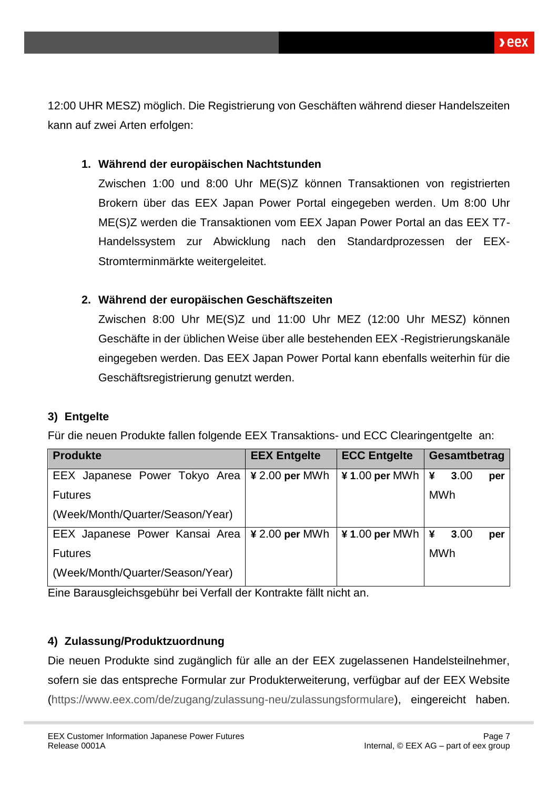**Deex** 

12:00 UHR MESZ) möglich. Die Registrierung von Geschäften während dieser Handelszeiten kann auf zwei Arten erfolgen:

### **1. Während der europäischen Nachtstunden**

Zwischen 1:00 und 8:00 Uhr ME(S)Z können Transaktionen von registrierten Brokern über das EEX Japan Power Portal eingegeben werden. Um 8:00 Uhr ME(S)Z werden die Transaktionen vom EEX Japan Power Portal an das EEX T7- Handelssystem zur Abwicklung nach den Standardprozessen der EEX-Stromterminmärkte weitergeleitet.

## **2. Während der europäischen Geschäftszeiten**

Zwischen 8:00 Uhr ME(S)Z und 11:00 Uhr MEZ (12:00 Uhr MESZ) können Geschäfte in der üblichen Weise über alle bestehenden EEX -Registrierungskanäle eingegeben werden. Das EEX Japan Power Portal kann ebenfalls weiterhin für die Geschäftsregistrierung genutzt werden.

## **3) Entgelte**

Für die neuen Produkte fallen folgende EEX Transaktions- und ECC Clearingentgelte an:

| <b>Produkte</b>                                        | <b>EEX Entgelte</b> | <b>ECC Entgelte</b>                                        | Gesamtbetrag |      |     |
|--------------------------------------------------------|---------------------|------------------------------------------------------------|--------------|------|-----|
| EEX Japanese Power Tokyo Area                          | $\yen$ 2.00 per MWh | $\textbf{\texttt{4}}$ 1.00 per MWh   $\textbf{\texttt{4}}$ |              | 3.00 | per |
| <b>Futures</b>                                         |                     |                                                            | <b>MWh</b>   |      |     |
| (Week/Month/Quarter/Season/Year)                       |                     |                                                            |              |      |     |
| EEX Japanese Power Kansai Area   $\angle$ 2.00 per MWh |                     | $\angle$ 1.00 per MWh $\angle$ ¥                           |              | 3.00 | per |
| <b>Futures</b>                                         |                     |                                                            | <b>MWh</b>   |      |     |
| (Week/Month/Quarter/Season/Year)                       |                     |                                                            |              |      |     |

Eine Barausgleichsgebühr bei Verfall der Kontrakte fällt nicht an.

## **4) Zulassung/Produktzuordnung**

Die neuen Produkte sind zugänglich für alle an der EEX zugelassenen Handelsteilnehmer, sofern sie das entspreche Formular zur Produkterweiterung, verfügbar auf der EEX Website [\(https://www.eex.com/de/zugang/zulassung-neu/zulassungsformulare\)](https://www.eex.com/de/zugang/zulassung-neu/zulassungsformulare), eingereicht haben.